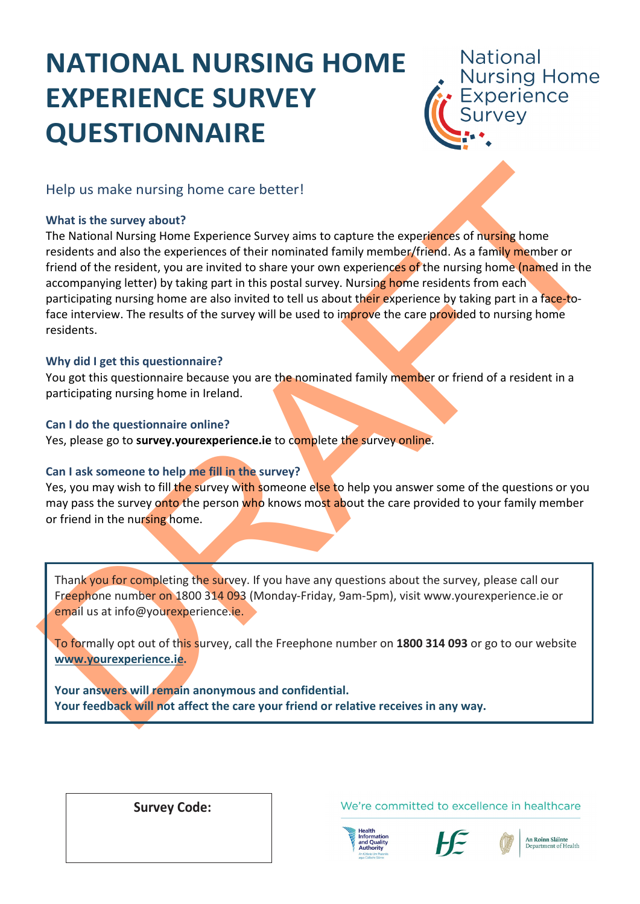# **NATIONAL NURSING HOME EXPERIENCE SURVEY QUESTIONNAIRE**

**National** Nursing Home<br>Experience

Help us make nursing home care better!

### **What is the survey about?**

Help us make nursing home care better!<br>
What is the survey about?<br>
The National Nursing Home Experience Survey aims to capture the experiences of mursing home<br>
residents and also the experiences of the morninated afmiling The National Nursing Home Experience Survey aims to capture the experiences of nursing home residents and also the experiences of their nominated family member/friend. As a family member or friend of the resident, you are invited to share your own experiences of the nursing home (named in the accompanying letter) by taking part in this postal survey. Nursing home residents from each participating nursing home are also invited to tell us about their experience by taking part in a face-toface interview. The results of the survey will be used to improve the care provided to nursing home residents.

### **Why did I get this questionnaire?**

You got this questionnaire because you are the nominated family member or friend of a resident in a participating nursing home in Ireland.

### **Can I do the questionnaire online?**

Yes, please go to **survey.yourexperience.ie** to complete the survey online.

### **Can I ask someone to help me fill in the survey?**

Yes, you may wish to fill the survey with someone else to help you answer some of the questions or you may pass the survey onto the person who knows most about the care provided to your family member or friend in the nursing home.

Thank you for completing the survey. If you have any questions about the survey, please call our Freephone number on 1800 314 093 (Monday-Friday, 9am-5pm), visit www.yourexperience.ie or email us at info@yourexperience.ie.

To formally opt out of this survey, call the Freephone number on **1800 314 093** or go to our website **www.yourexperience.ie.**

**Your answers will remain anonymous and confidential. Your feedback will not affect the care your friend or relative receives in any way.**

 **Survey Code:**

We're committed to excellence in healthcare





An Roinn Sláinte Department of Health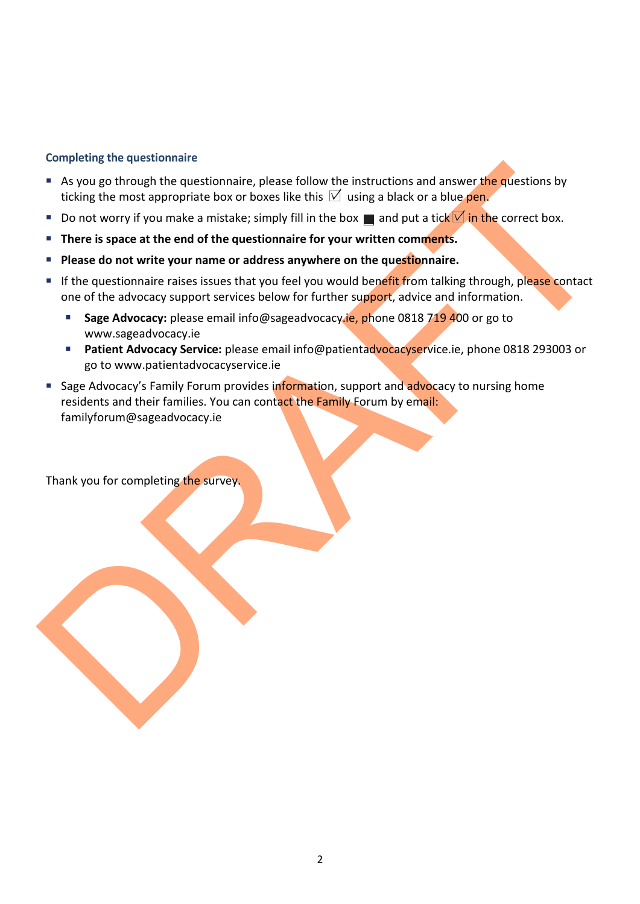### **Completing the questionnaire**

- As you go through the questionnaire, please follow the instructions and answer the questions by ticking the most appropriate box or boxes like this  $\mathbb N$  using a black or a blue pen.
- Do not worry if you make a mistake; simply fill in the box **a** and put a tick  $\blacksquare$  in the correct box.
- **There is space at the end of the questionnaire for your written comments.**
- **Please do not write your name or address anywhere on the questionnaire.**
- If the questionnaire raises issues that you feel you would benefit from talking through, please contact one of the advocacy support services below for further support, advice and information.
	- **Sage Advocacy:** please email info@sageadvocacy.ie, phone 0818 719 400 or go to www.sageadvocacy.ie
	- **Patient Advocacy Service:** please email info@patientadvocacyservice.ie, phone 0818 293003 or go to www.patientadvocacyservice.ie
- As you go through the questionnaire, please follow the instructions and answer the questions by<br>ticking the most appropriate box of boxes like this  $|L' \rangle$  using a black or a bit experiment of the correct box.<br>
Co not wor Sage Advocacy's Family Forum provides information, support and advocacy to nursing home residents and their families. You can contact the Family Forum by email: familyforum@sageadvocacy.ie

Thank you for completing the survey.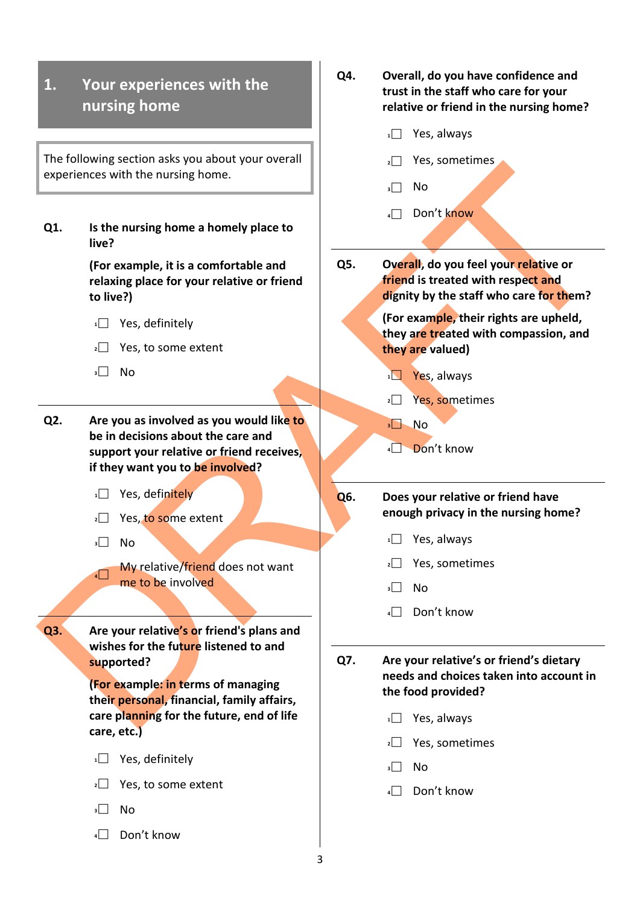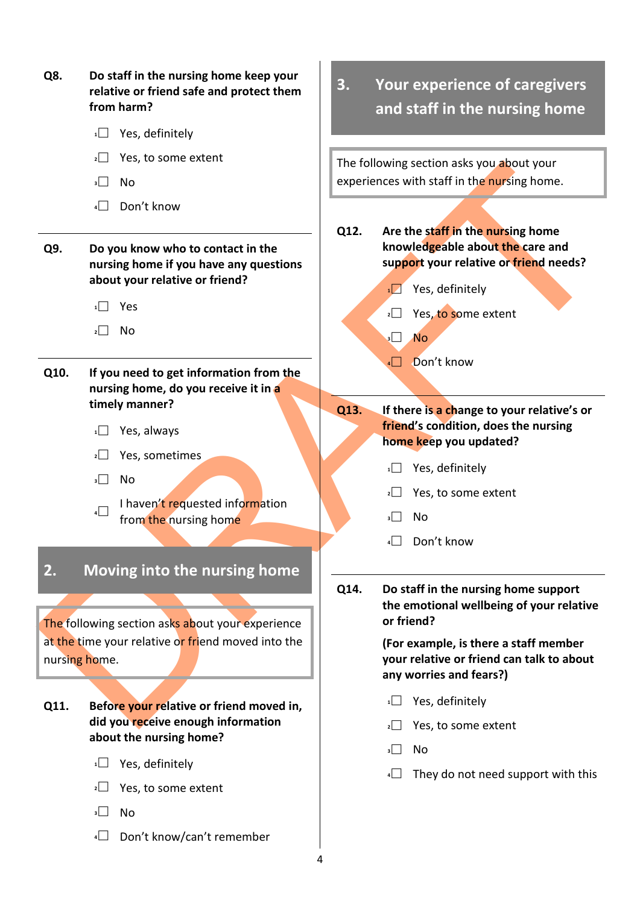| Q8.                                                                 | Do staff in the nursing home keep your<br>relative or friend safe and protect them<br>from harm?                                |   | 3.   | Your experience of caregivers<br>and staff in the nursing home                                                |                                                                                                                                                                        |  |  |  |
|---------------------------------------------------------------------|---------------------------------------------------------------------------------------------------------------------------------|---|------|---------------------------------------------------------------------------------------------------------------|------------------------------------------------------------------------------------------------------------------------------------------------------------------------|--|--|--|
|                                                                     | Yes, definitely<br>1                                                                                                            |   |      |                                                                                                               |                                                                                                                                                                        |  |  |  |
|                                                                     | Yes, to some extent<br>2                                                                                                        |   |      | The following section asks you about your                                                                     |                                                                                                                                                                        |  |  |  |
|                                                                     | <b>No</b><br>3                                                                                                                  |   |      |                                                                                                               | experiences with staff in the nursing home.                                                                                                                            |  |  |  |
|                                                                     | Don't know<br>4                                                                                                                 |   |      |                                                                                                               |                                                                                                                                                                        |  |  |  |
| Q9.                                                                 | Do you know who to contact in the<br>nursing home if you have any questions<br>about your relative or friend?<br>Yes<br>No<br>2 |   | Q12. | $\overline{1}$<br>$\overline{2}$<br>$\overline{\phantom{a}}$                                                  | Are the staff in the nursing home<br>knowledgeable about the care and<br>support your relative or friend needs?<br>Yes, definitely<br>Yes, to some extent<br><b>No</b> |  |  |  |
| Q10.                                                                | If you need to get information from the<br>nursing home, do you receive it in a                                                 |   |      | $\sqrt{ }$                                                                                                    | Don't know                                                                                                                                                             |  |  |  |
|                                                                     | timely manner?                                                                                                                  |   | Q13. |                                                                                                               | If there is a change to your relative's or                                                                                                                             |  |  |  |
|                                                                     | Yes, always<br>1                                                                                                                |   |      |                                                                                                               | friend's condition, does the nursing<br>home keep you updated?                                                                                                         |  |  |  |
|                                                                     | Yes, sometimes<br>$2$                                                                                                           |   |      | 1                                                                                                             | Yes, definitely                                                                                                                                                        |  |  |  |
|                                                                     | <b>No</b><br>$\vert$ $\vert$                                                                                                    |   |      |                                                                                                               | Yes, to some extent                                                                                                                                                    |  |  |  |
|                                                                     | I haven't requested information<br>$\overline{4}$<br>from the nursing home                                                      |   |      | $\vert$                                                                                                       | No                                                                                                                                                                     |  |  |  |
|                                                                     |                                                                                                                                 |   |      | $4$ $\Box$                                                                                                    | Don't know                                                                                                                                                             |  |  |  |
| 2.                                                                  | Moving into the nursing home                                                                                                    |   | Q14. |                                                                                                               | Do staff in the nursing home support                                                                                                                                   |  |  |  |
| The following section asks about your experience                    |                                                                                                                                 |   |      | the emotional wellbeing of your relative<br>or friend?                                                        |                                                                                                                                                                        |  |  |  |
| at the time your relative or friend moved into the<br>nursing home. |                                                                                                                                 |   |      | (For example, is there a staff member<br>your relative or friend can talk to about<br>any worries and fears?) |                                                                                                                                                                        |  |  |  |
| Q11.                                                                | Before your relative or friend moved in,                                                                                        |   |      | 1                                                                                                             | Yes, definitely                                                                                                                                                        |  |  |  |
|                                                                     | did you receive enough information<br>about the nursing home?                                                                   |   |      | $2$                                                                                                           | Yes, to some extent                                                                                                                                                    |  |  |  |
|                                                                     |                                                                                                                                 |   |      | $\overline{\mathbf{3}}$                                                                                       | No                                                                                                                                                                     |  |  |  |
|                                                                     | Yes, definitely<br>1                                                                                                            |   |      |                                                                                                               | They do not need support with this                                                                                                                                     |  |  |  |
|                                                                     | Yes, to some extent<br>2<br>3<br><b>No</b>                                                                                      |   |      |                                                                                                               |                                                                                                                                                                        |  |  |  |
|                                                                     | Don't know/can't remember<br>4                                                                                                  |   |      |                                                                                                               |                                                                                                                                                                        |  |  |  |
|                                                                     |                                                                                                                                 | 4 |      |                                                                                                               |                                                                                                                                                                        |  |  |  |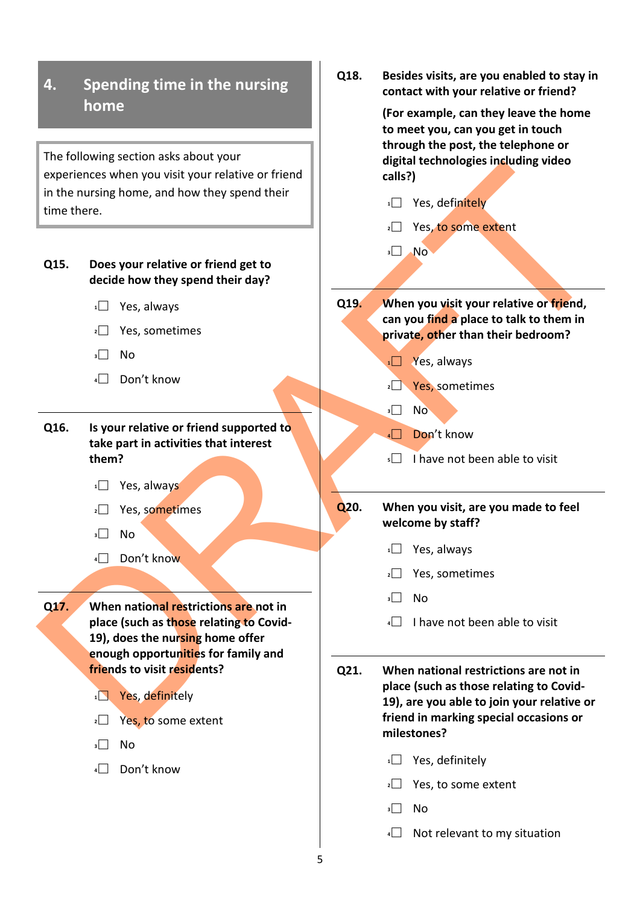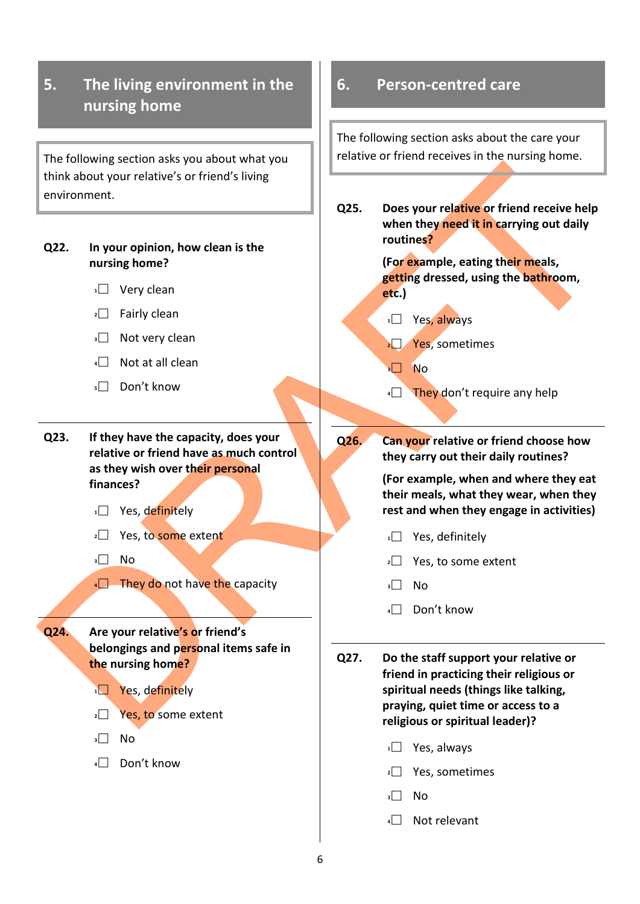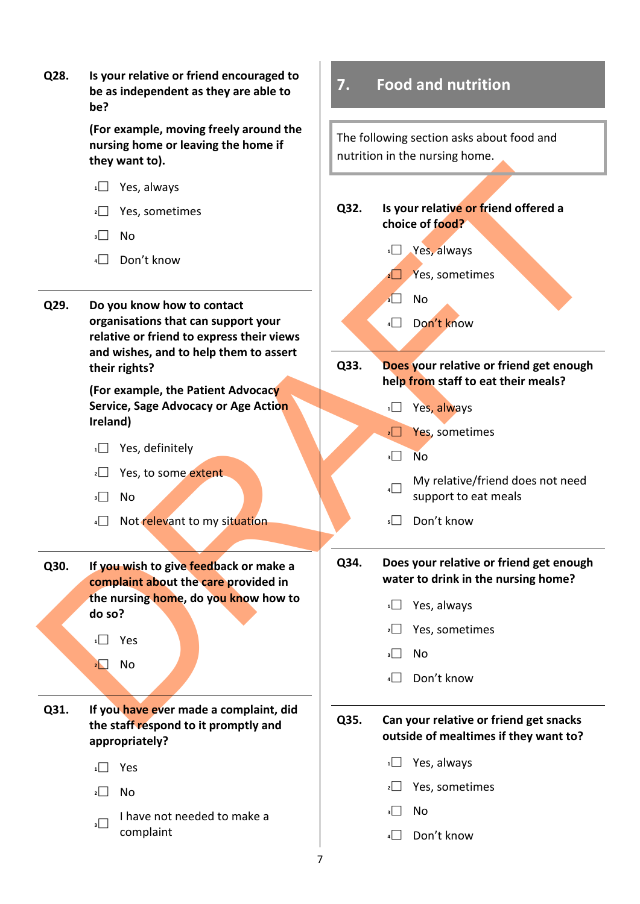**Q28. Is your relative or friend encouraged to be as independent as they are able to be?**

> **(For example, moving freely around the nursing home or leaving the home if they want to).**

- **<sup>1</sup>** Yes, always
- **<sup>2</sup>** Yes, sometimes
- $\overline{\mathsf{3}}$  No
- **<sup>4</sup>** Don't know
- **Q29. Do you know how to contact organisations that can support your relative or friend to express their views and wishes, and to help them to assert their rights?**

**(For example, the Patient Advocacy Service, Sage Advocacy or Age Action Ireland)**

- 1<sup>1</sup> Yes, definitely
- **2** Yes, to some extent
- **<sup>3</sup>** No
- **4** Not relevant to my situation
- **Q30. If you wish to give feedback or make a complaint about the care provided in the nursing home, do you know how to do so?**

**<sup>1</sup>** Yes **<sup>2</sup>** No

**Q31. If you have ever made a complaint, did the staff respond to it promptly and appropriately?**

- **<sup>1</sup>** Yes
- $2 \square$  No
- **1** I have not needed to make a complaint

### **7. Food and nutrition**

The following section asks about food and nutrition in the nursing home.



### **Q33. Does your relative or friend get enough help from staff to eat their meals?**

- 1<sup>1</sup> Yes, always
- **2** Yes, sometimes
- **<sup>3</sup>** No
- **4** My relative/friend does not need support to eat meals
- **<sup>5</sup>** Don't know

**Q34. Does your relative or friend get enough water to drink in the nursing home?**

- **<sup>1</sup>** Yes, always
- **<sup>2</sup>** Yes, sometimes
- **<sup>3</sup>** No
	- **<sup>4</sup>** Don't know

**Q35. Can your relative or friend get snacks outside of mealtimes if they want to?**

- **<sup>1</sup>** Yes, always
- **<sup>2</sup>** Yes, sometimes
- **<sup>3</sup>** No
- **<sup>4</sup>** Don't know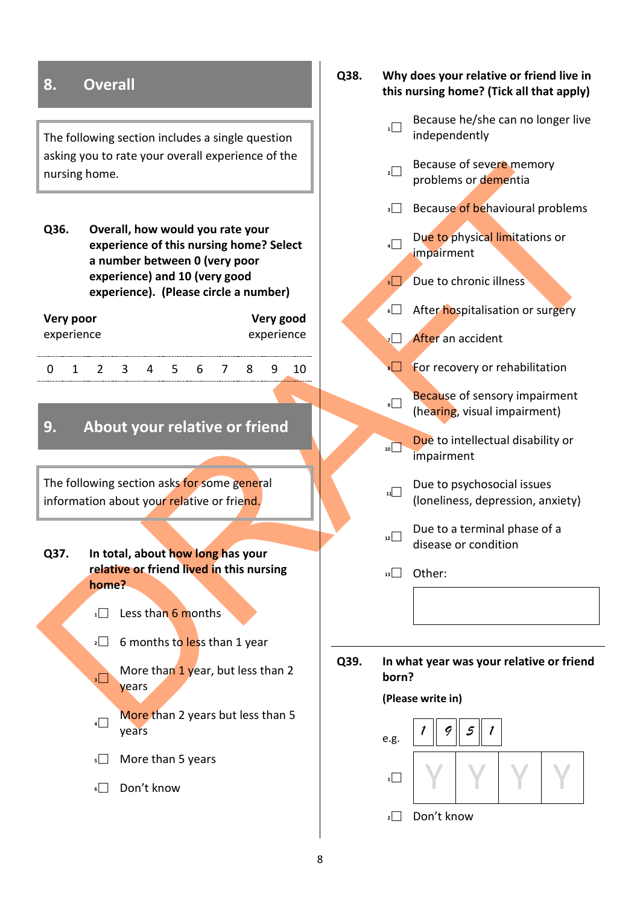### **8. Overall**

The following section includes a single question asking you to rate your overall experience of the nursing home.

nursing home.<br>
236. Overall, how would you rate your<br>
experience of this nursing home?<br>
superience of this nursing home?<br>
experience of the number of the number of the nature of the number<br>
experience of the number of the **Q36. Overall, how would you rate your experience of this nursing home? Select a number between 0 (very poor experience) and 10 (very good experience). (Please circle a number)**

| Very poor  |  |  |   |   |  |   | Very good |            |  |  |  |
|------------|--|--|---|---|--|---|-----------|------------|--|--|--|
| experience |  |  |   |   |  |   |           | experience |  |  |  |
|            |  |  |   |   |  |   |           |            |  |  |  |
|            |  |  | ≺ | Д |  | h |           |            |  |  |  |

### **9. About your relative or friend**

The following section asks for some general information about your relative or friend.

**Q37. In total, about how long has your relative or friend lived in this nursing home?**

- **1** Less than 6 months
- **2** 6 months to less than 1 year

**3** More than 1 year, but less than 2 years

**4** More than 2 years but less than 5 years

- **5** More than 5 years
- **<sup>6</sup>** Don't know

### **Q38. Why does your relative or friend live in this nursing home? (Tick all that apply)**

- **1** Because he/she can no longer live independently
- **2** Because of severe memory problems or dementia
- **Because of behavioural problems**
- **4 Due to physical limitations or** impairment
- **<sup>5</sup>** Due to chronic illness
- **6** After hospitalisation or surgery
- **7** After an accident
- **B** For recovery or rehabilitation
- **Because of sensory impairment** (hearing, visual impairment)
- **10** Due to intellectual disability or impairment
- **11** Due to psychosocial issues (loneliness, depression, anxiety)
- **12** Due to a terminal phase of a disease or condition

**<sup>13</sup>** Other:

**Q39. In what year was your relative or friend born?**

### **(Please write in)**

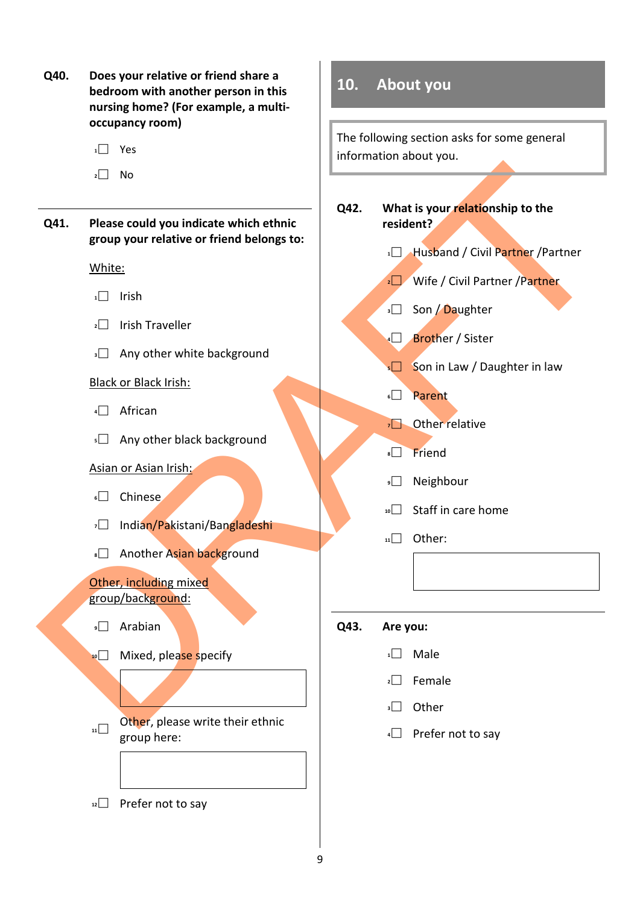- **Q40. Does your relative or friend share a bedroom with another person in this nursing home? (For example, a multioccupancy room)**
	- **<sup>1</sup>** Yes
	- $2 \square$  No
- **Q41. Please could you indicate which ethnic group your relative or friend belongs to:**

### White:

- **<sup>1</sup>** Irish
- **<sup>2</sup>** Irish Traveller
- **3** Any other white background

### Black or Black Irish:

- **<sup>4</sup>** African
- **5** Any other black background

### Asian or Asian Irish:

- **<sup>6</sup>** Chinese
- **<sup>7</sup>** Indian/Pakistani/Bangladeshi
- **8** Another Asian background

### Other, including mixed group/background:

- **<sup>9</sup>** Arabian
- **10** Mixed, please specify
- **11** Other, please write their ethnic group here:

**10. About you**

The following section asks for some general information about you.

# DRAFT **Q42. What is your relationship to the resident?**

- **1** Husband / Civil Partner / Partner
- **2** Wife / Civil Partner / Partner
- **3** Son / Daughter
- **4** Brother / Sister
- **5** Son in Law / Daughter in law
- **<sup>6</sup>** Parent
- **7** Other relative
- **<sup>8</sup>** Friend
- **<sup>9</sup>** Neighbour
- **<sup>10</sup>** Staff in care home
- **<sup>11</sup>** Other:
- **Q43. Are you:**
	- $1$  Male
	- **<sup>2</sup>** Female
	- **<sup>3</sup>** Other
	- **<sup>4</sup>** Prefer not to say

**<sup>12</sup>** Prefer not to say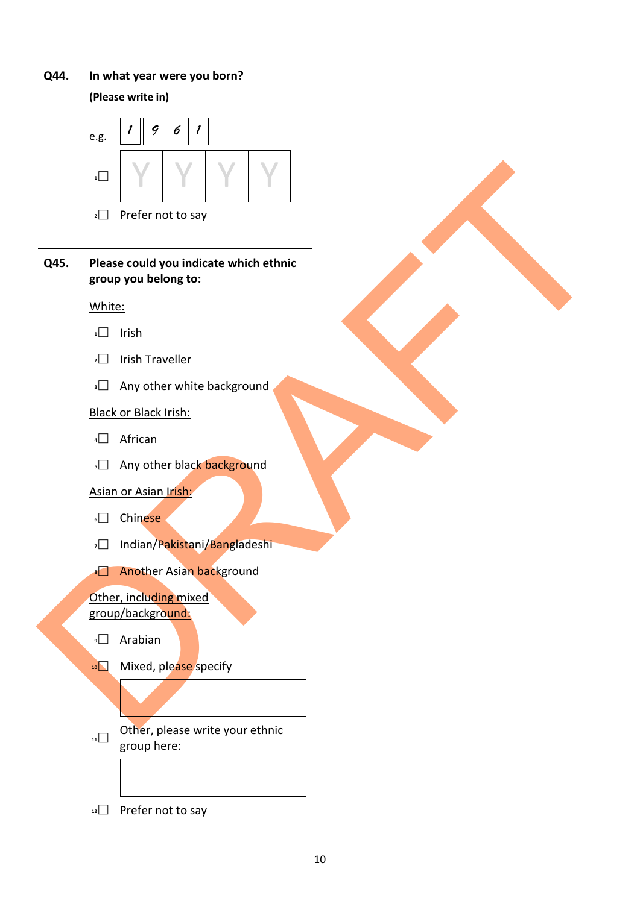### **Q44. In what year were you born?**

**(Please write in)** 



- **2** Prefer not to say
- **Q45. Please could you indicate which ethnic group you belong to:**

### White:

- **<sup>1</sup>** Irish
- **<sup>2</sup>** Irish Traveller
- **3** Any other white background

### Black or Black Irish:

- **<sup>4</sup>** African
- **5** Any other black background

### Asian or Asian Irish:

- **<sup>6</sup>** Chinese
- **<sup>7</sup>** Indian/Pakistani/Bangladeshi
- **8** Another Asian background

### Other, including mixed group/background:

- **<sup>9</sup>** Arabian
- **10** Mixed, please specify
- **11** Other, please write your ethnic group here:
- **<sup>12</sup>** Prefer not to say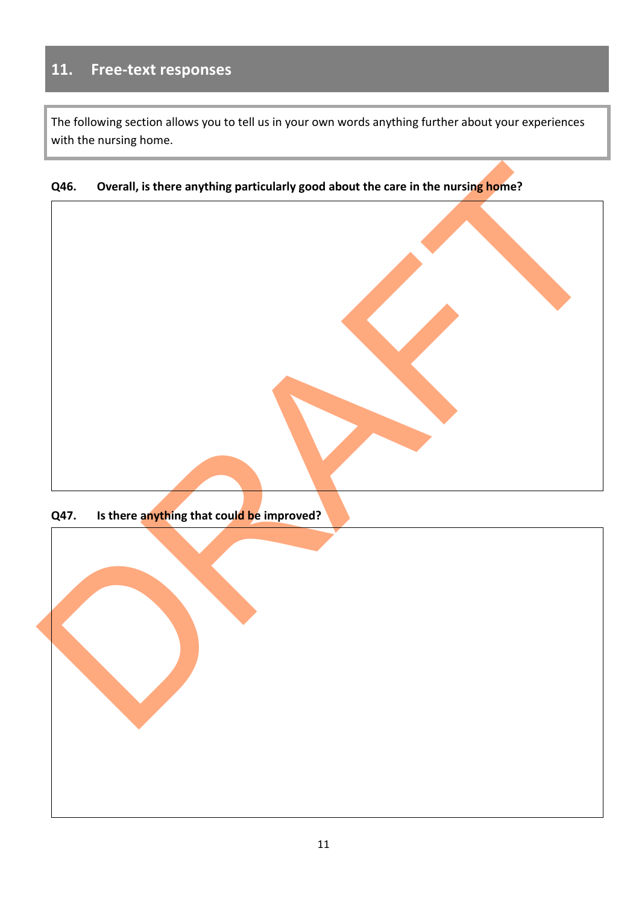### **11. Free-text responses**

The following section allows you to tell us in your own words anything further about your experiences with the nursing home.

### **Q46. Overall, is there anything particularly good about the care in the nursing home?**



**Q47. Is there anything that could be improved?**